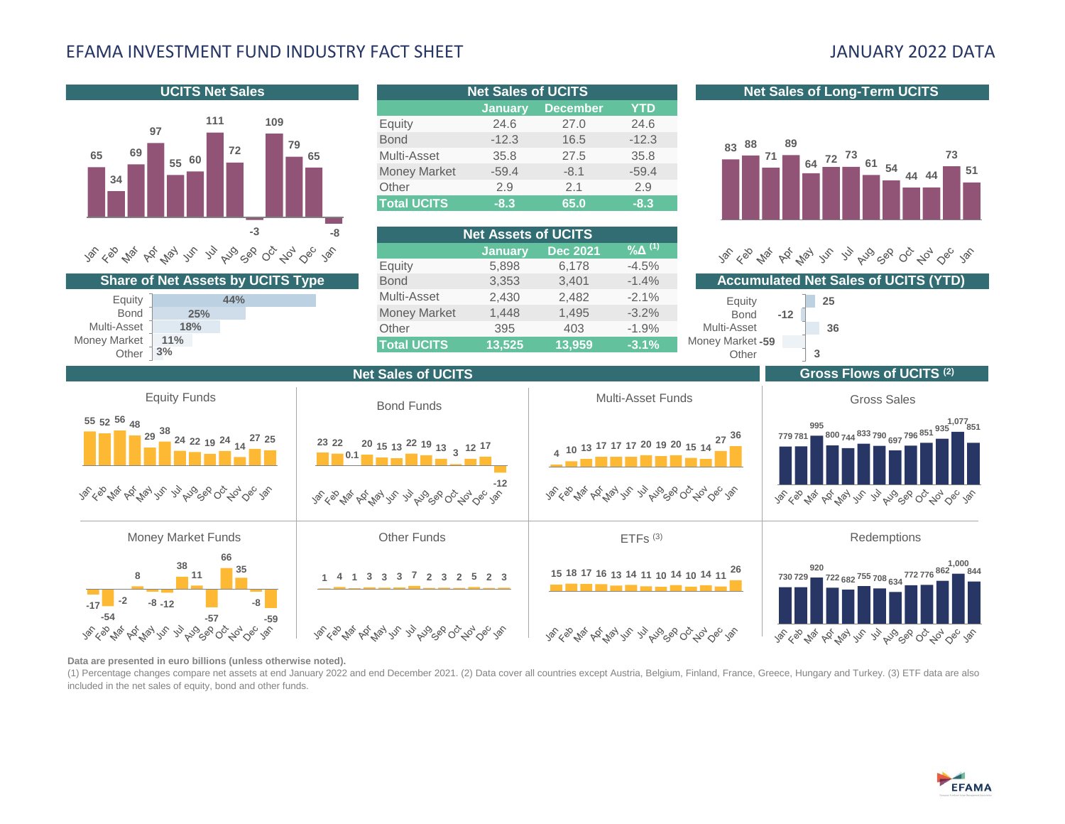# EFAMA INVESTMENT FUND INDUSTRY FACT SHEET JANUARY 2022 DATA



**Data are presented in euro billions (unless otherwise noted).** 

(1) Percentage changes compare net assets at end January 2022 and end December 2021. (2) Data cover all countries except Austria, Belgium, Finland, France, Greece, Hungary and Turkey. (3) ETF data are also included in the net sales of equity, bond and other funds.